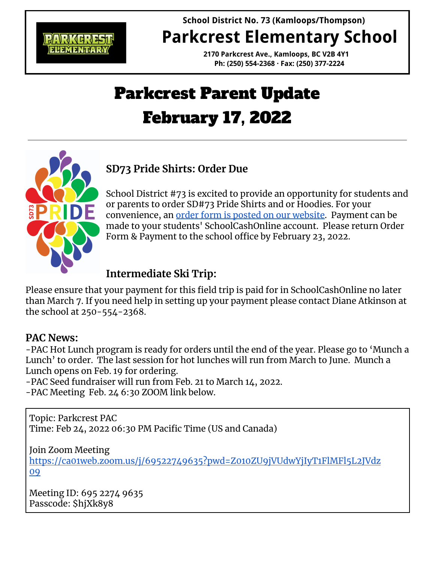

# **School District No. 73 (Kamloops/Thompson) Parkcrest Elementary School**

**2170 Parkcrest Ave., Kamloops, BC V2B 4Y1 Ph: (250) 554-2368 · Fax: (250) 377-2224**

# Parkcrest Parent Update February 17, 2022



School District #73 is excited to provide an opportunity for students and or parents to order SD#73 Pride Shirts and or Hoodies. For your convenience, an order form is posted on our [website](https://parkcrest.sd73.bc.ca/en/resources/SD73-Pride-Shirt-Order-Form.pdf). Payment can be made to your students' SchoolCashOnline account. Please return Order Form & Payment to the school office by February 23, 2022.

## **Intermediate Ski Trip:**

Please ensure that your payment for this field trip is paid for in SchoolCashOnline no later than March 7. If you need help in setting up your payment please contact Diane Atkinson at the school at 250-554-2368.

#### **PAC News:**

-PAC Hot Lunch program is ready for orders until the end of the year. Please go to 'Munch a Lunch' to order. The last session for hot lunches will run from March to June. Munch a Lunch opens on Feb. 19 for ordering.

-PAC Seed fundraiser will run from Feb. 21 to March 14, 2022.

-PAC Meeting Feb. 24 6:30 ZOOM link below.

Topic: Parkcrest PAC Time: Feb 24, 2022 06:30 PM Pacific Time (US and Canada)

Join Zoom Meeting

[https://ca01web.zoom.us/j/69522749635?pwd=Z010ZU9jVUdwYjIyT1FlMFl5L2JVdz](https://ca01web.zoom.us/j/69522749635?pwd=Z010ZU9jVUdwYjIyT1FlMFl5L2JVdz09) [09](https://ca01web.zoom.us/j/69522749635?pwd=Z010ZU9jVUdwYjIyT1FlMFl5L2JVdz09)

Meeting ID: 695 2274 9635 Passcode: \$hjXk8y8